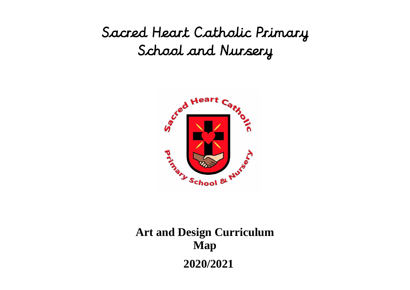## Sacred Heart Catholic Primary School and Nursery



## **Art and Design Curriculum Map 2020/2021**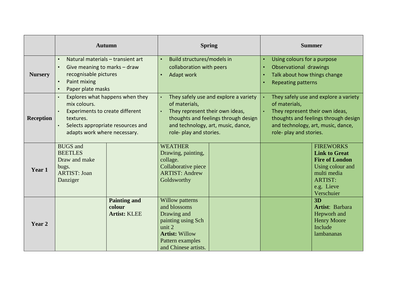|                  | <b>Autumn</b>                                                                                                                                                                                                                     | <b>Spring</b>                                                                                                                                                                                      | <b>Summer</b>                                                                                                                                                                                      |  |
|------------------|-----------------------------------------------------------------------------------------------------------------------------------------------------------------------------------------------------------------------------------|----------------------------------------------------------------------------------------------------------------------------------------------------------------------------------------------------|----------------------------------------------------------------------------------------------------------------------------------------------------------------------------------------------------|--|
| <b>Nursery</b>   | Build structures/models in<br>Natural materials - transient art<br>$\bullet$<br>$\bullet$<br>collaboration with peers<br>Give meaning to marks - draw<br>recognisable pictures<br>Adapt work<br>Paint mixing<br>Paper plate masks |                                                                                                                                                                                                    | Using colours for a purpose<br>Observational drawings<br>Talk about how things change<br><b>Repeating patterns</b>                                                                                 |  |
| <b>Reception</b> | Explores what happens when they<br>mix colours.<br><b>Experiments to create different</b><br>textures.<br>Selects appropriate resources and<br>adapts work where necessary.                                                       | They safely use and explore a variety<br>of materials,<br>They represent their own ideas,<br>thoughts and feelings through design<br>and technology, art, music, dance,<br>role- play and stories. | They safely use and explore a variety<br>of materials,<br>They represent their own ideas,<br>thoughts and feelings through design<br>and technology, art, music, dance,<br>role- play and stories. |  |
| Year 1           | <b>BUGS</b> and<br><b>BEETLES</b><br>Draw and make<br>bugs.<br><b>ARTIST: Joan</b><br>Danziger                                                                                                                                    | <b>WEATHER</b><br>Drawing, painting,<br>collage.<br>Collaborative piece<br><b>ARTIST: Andrew</b><br>Goldsworthy                                                                                    | <b>FIREWORKS</b><br><b>Link to Great</b><br><b>Fire of London</b><br>Using colour and<br>multi media<br><b>ARTIST:</b><br>e.g. Lieve<br>Verschuier                                                 |  |
| Year 2           | <b>Painting and</b><br>colour<br><b>Artist: KLEE</b>                                                                                                                                                                              | Willow patterns<br>and blossoms<br>Drawing and<br>painting using Sch<br>unit 2<br><b>Artist: Willow</b><br>Pattern examples<br>and Chinese artists.                                                | 3D<br>Artist: Barbara<br>Hepworh and<br><b>Henry Moore</b><br>Include<br>lambananas                                                                                                                |  |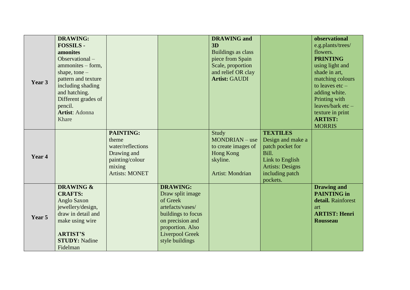|        | <b>DRAWING:</b>      |                       |                        | <b>DRAWING</b> and   |                         | observational        |
|--------|----------------------|-----------------------|------------------------|----------------------|-------------------------|----------------------|
|        | <b>FOSSILS -</b>     |                       |                        | 3D                   |                         | e.g.plants/trees/    |
|        | amonites             |                       |                        | Buildings as class   |                         | flowers.             |
|        | Observational $-$    |                       |                        | piece from Spain     |                         | <b>PRINTING</b>      |
|        | $ammonites - form,$  |                       |                        | Scale, proportion    |                         | using light and      |
|        | shape, tone $-$      |                       |                        | and relief OR clay   |                         | shade in art,        |
|        | pattern and texture  |                       |                        | <b>Artist: GAUDI</b> |                         | matching colours     |
| Year 3 | including shading    |                       |                        |                      |                         | to leaves $etc-$     |
|        | and hatching.        |                       |                        |                      |                         | adding white.        |
|        | Different grades of  |                       |                        |                      |                         | Printing with        |
|        | pencil.              |                       |                        |                      |                         | leaves/bark etc-     |
|        | Artist: Adonna       |                       |                        |                      |                         | texture in print     |
|        | Khare                |                       |                        |                      |                         | <b>ARTIST:</b>       |
|        |                      |                       |                        |                      |                         | <b>MORRIS</b>        |
|        |                      | <b>PAINTING:</b>      |                        | Study                | <b>TEXTILES</b>         |                      |
|        |                      | theme                 |                        | MONDRIAN – use       | Design and make a       |                      |
|        |                      | water/reflections     |                        | to create images of  | patch pocket for        |                      |
| Year 4 |                      | Drawing and           |                        | Hong Kong            | Bill.                   |                      |
|        |                      | painting/colour       |                        | skyline.             | Link to English         |                      |
|        |                      | mixing                |                        |                      | <b>Artists: Designs</b> |                      |
|        |                      | <b>Artists: MONET</b> |                        | Artist: Mondrian     | including patch         |                      |
|        |                      |                       |                        |                      | pockets.                |                      |
|        | <b>DRAWING &amp;</b> |                       | <b>DRAWING:</b>        |                      |                         | <b>Drawing and</b>   |
| Year 5 | <b>CRAFTS:</b>       |                       | Draw split image       |                      |                         | <b>PAINTING</b> in   |
|        | Anglo Saxon          |                       | of Greek               |                      |                         | detail. Rainforest   |
|        | jewellery/design,    |                       | artefacts/vases/       |                      |                         | art                  |
|        | draw in detail and   |                       | buildings to focus     |                      |                         | <b>ARTIST: Henri</b> |
|        | make using wire      |                       | on precision and       |                      |                         | <b>Rousseau</b>      |
|        |                      |                       | proportion. Also       |                      |                         |                      |
|        | <b>ARTIST'S</b>      |                       | <b>Liverpool Greek</b> |                      |                         |                      |
|        | <b>STUDY: Nadine</b> |                       | style buildings        |                      |                         |                      |
|        | Fidelman             |                       |                        |                      |                         |                      |